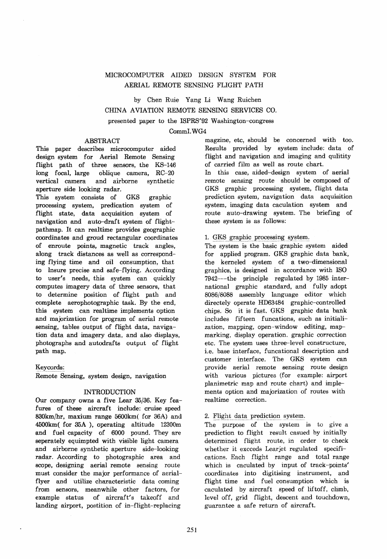# MICROCOMPUTER AIDED DESIGN SYSTEM FOR AERIAL REMOTE SENSING FLIGHT PATH

by Chen Ruie Yang Li Wang Ruichen CHINA AVIATION REMOTE SENSING SERVICES CO. presented paper to the ISPRS'92 Washington-congress

### CommI.WG4

### ABSTRACT

This paper describes microcomputer aided design system for Aerial Remote Sensing flight path of three sensors, the KS-146 long focal, large oblique camera, RC-20 vertical camera and airborne synthetic aperture side looking radar.

This system consists of GKS graphie processing system, predication system of flight state, data acquisition system of navigation and auto-draft system of flightpathmap. It can realtime provides geographie coordinates and groud rectangular coordinates of enroute points, magnetic track angles, along track distances as well as corresponding flying time and oil consumption, that to lnsure precise and safe-flying. According to user's needs, this system can quickly computes imagery data of three sensors, that to determine position of flight path and complete aerophotographic task. By the end, this system can reaItime implements option and majorization for program of aerial remote sensing, tables output of flight data, navigation data and imagery data, and also displays, photographs and autodrafts output of flight path map.

#### Keycords:

Remote Sensing, system design, navigation

### INTRODUCTION

Dur company owns a five Lear 35/36. Key feafures of these aircraft include: cruise speed 830km/hr, marium range 56OOkm( for 36A) and 4500km( for *35A* ), operating altitude 12300m and fuel capacity of 6000 pound. They are seperately equimpted with visible light camera and airborne synthetic aperture side-Iooking radar. Aceording to photographie area and scope, designing aerial remote sensing route must consider the major performance of aerialflyer and utilize characteristic data coming from sensors, meanwhile other factors, for example status of aircraft's takeoff and landing airport, postition of in-flight-replacing

magzine, etc, should be concerned with too. ResuIts provided by system include: data of flight and navigation and imaging and qulitity of carried film as weIl as route chart. In this case, aided-design system of aerial remote sensing route should be composed of GKS graphie processing system, flight data prediction system, navigation data aequisition system, imaging data eaculation system and route auto-drawing system. The briefing of these system is as folIows:

### 1. GKS graphic processing system.

The system is the basic graphie system aided for appIied program. GKS graphie data bank, the kerneled system of a two-dimensional graphies, is designed in aeeordance with ISO 7942---the principle regulated by 1985 international graphie standard, and fully adopt 8086/8088 assembly language editor whieh directely operate HD63484 graphic-controlled chips. So it ia fast. GKS graphie data bank includes fifteen funcations, such as initialization, mapping, open-window editing, mapmarking, display operation. graphic correction ete. The system uses three-Ievel constructure, i.e. base interface, funcational description and eustomer interface. The GKS system can provide aerial remote sensing route design with various pictures (for example: airport planimetrie map and route chart) and implements option and majorization of routes with realtime eorreetion.

### 2. Flight data prediction system.

The purpose of the system is to give a prediction to flight result casued by initially determined flight route, in order to check whether it excceds Learjet regulated specifications. Eaeh flight range and total range which 18 caculated by input of track-points' coordinates into digitising instrument, and flight time and fuel conaumption which ia caculated by aircraft speed of liftoff, climb, level off, grid flight, descent and touchdown, guarantee a safe return of aireraft.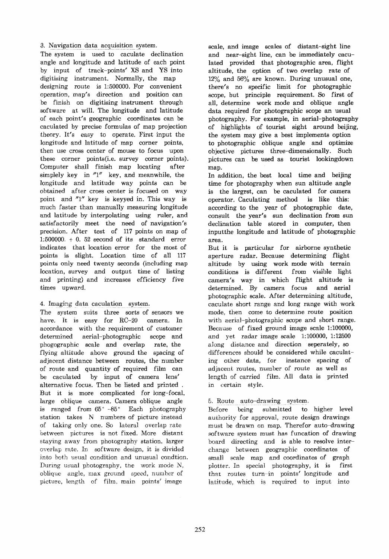### 3. Navigation data acquisition system.

The system is used to caculate declination angle and longitude and latitude of each point by input of track-points' XS and YS into digitising instrument. Normally, the map designing route is 1:500000. For convenient operation, map's direction and position can be finish on digitising instrument through software at wilL The longitude and latitude of each point's geographie coordinates can be caculated by precise formulas of map projection theory. lt's easy to operate. First input the longitude and latitude of map corner points, then use cross center of mouse to focus upon these corner points(i.e. survey corner points). Computer shall finish map locating after simplely key in  $T_1''$  key, and meanwhile, the longitude and latitude way points can be obtained after cross center ia focused on way point and "l" key is keyyed in. This way is much faster than manually measuring longitude and latitude by interpolating using ruler, and satisfactorily meet the need of navigation's precision. After test of 117 points on map of 1:500000,  $+$  0.52 second of its standard error indicates that location error for the most of points is slight. Location time of all 117 points only need twenty seconds (including map location, survey and output time of listing and printing) and increases efficiency five times upward.

## 4. Imaging data caculation system.

The system suits three sorts of sensors we have. It is easy for RC-20 camera. In accordance with the requirement of customer determined aerial-photographic scope and phogographic seale and overlap rate, the flying altitude above ground the spacing of adjacent distanee between routes, the number of route and quantity of required film can be eaculated by input of eamera lens' alternative focus. Then be listed and printed . But it i8 more eomplicated for long-foeal, large oblique camera. Camera oblique angle is ranged from  $65^{\circ}$  -85 $^{\circ}$  Each photography station takes N numbers of picture instead of taking only one. So lateral overlap rate between pictures ie not fixed. More distant staying away from photography station, Iarger overlap rate. In software design, it is divided into both usual condition and unusual condtion. During usual photography, the work mode  $N$ , oblique angle, max gronnd speed, number of picture, length of film, main points' image

scale, and image scales of distant-sight line and near-sight line, can be immediately caculated provided that photographic area, flight altitude, the option of two overlap rate of 12% and 56% are known. During unusual one, there's no specific limit for photographic scope, but principle requirement. So first of all, determine work mode and oblique angle data required for photographic scope an usual photography. For example, in aerial-photography of highlights of tourist sight around beijing, the system may give a best implements option to photographie oblique angle and optimize objective pictures three-dimensionally. Such pictures can be used as tourist lookingdown map.

In addition, the best local time and beijing time for photography when sun altitude angle is the largrst, can be caculated for camera operator. Caculating method is like this: according to the year of photographie date, consult the year's sun declination from sun declination table stored in computer, then inputthe longitude and latitude of photographic area.

But it i8 particular for airborne synthetic aperture radar. Because determining flight altitude by using work mode with terrain conditions ia different from visible light camera's way in which flight altitude is determined. By camera focus and aerial photographic scale. After determining altitude, caculate short range and long range with work mode, then eome to determine route position with aerial-photographic scope and short range. Because of fixed ground image scale 1:100000, and yet radar image scale 1:100000, 1:12500 aJong distance and direction seperately, so differences should be considered while caculating other data, for instance spacing of adjacent routes, number of route as well as length of carried film. All data is printed in certain style.

# 5. Route auto-drawing system.

Before being submitted to higher level authority for approval, route design drawings must be drawn on map. Therefor auto-drawing software system must has funcation of drawing board directing and ie able to resolve interchange between geographie coordinates of small scale map and coordinates of graph plotter. In special photography, it is first that routes turn-in points' longitude and iatitude; which i8 required to input into